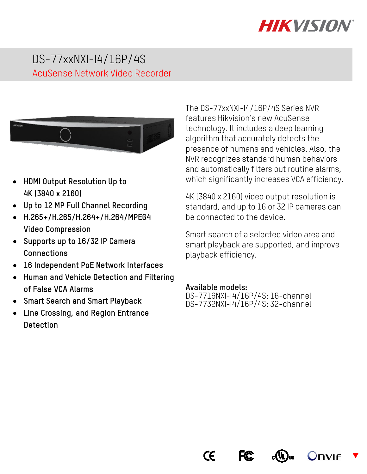# **HIKVISIO/**

## DS-77xxNXI-I4/16P/4S AcuSense Network Video Recorder



- **HDMI Output Resolution Up to 4K (3840 x 2160)**
- **Up to 12 MP Full Channel Recording**
- **H.265+/H.265/H.264+/H.264/MPEG4 Video Compression**
- **Supports up to 16/32 IP Camera Connections**
- **16 Independent PoE Network Interfaces**
- **Human and Vehicle Detection and Filtering of False VCA Alarms**
- **Smart Search and Smart Playback**
- **Line Crossing, and Region Entrance Detection**

The DS-77xxNXI-I4/16P/4S Series NVR features Hikvision's new AcuSense technology. It includes a deep learning algorithm that accurately detects the presence of humans and vehicles. Also, the NVR recognizes standard human behaviors and automatically filters out routine alarms, which significantly increases VCA efficiency.

4K (3840 x 2160) video output resolution is standard, and up to 16 or 32 IP cameras can be connected to the device.

Smart search of a selected video area and smart playback are supported, and improve playback efficiency.

#### **Available models:**

DS-7716NXI-I4/16P/4S: 16-channel DS-7732NXI-I4/16P/4S: 32-channel

> $\epsilon$ **FC**



 $\blacktriangledown$